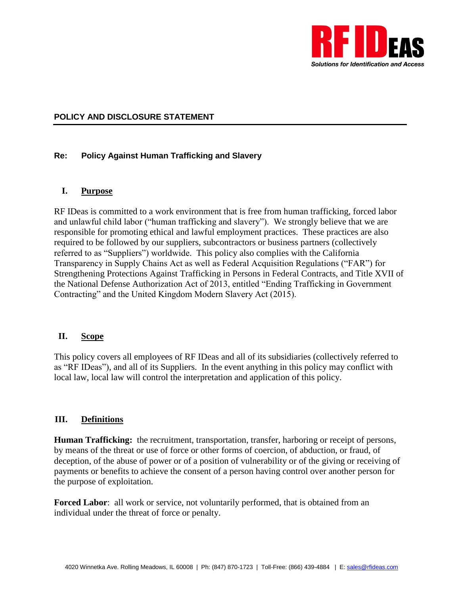

#### **POLICY AND DISCLOSURE STATEMENT**

#### **Re: Policy Against Human Trafficking and Slavery**

#### **I. Purpose**

RF IDeas is committed to a work environment that is free from human trafficking, forced labor and unlawful child labor ("human trafficking and slavery"). We strongly believe that we are responsible for promoting ethical and lawful employment practices. These practices are also required to be followed by our suppliers, subcontractors or business partners (collectively referred to as "Suppliers") worldwide. This policy also complies with the California Transparency in Supply Chains Act as well as Federal Acquisition Regulations ("FAR") for Strengthening Protections Against Trafficking in Persons in Federal Contracts, and Title XVII of the National Defense Authorization Act of 2013, entitled "Ending Trafficking in Government Contracting" and the United Kingdom Modern Slavery Act (2015).

### **II. Scope**

This policy covers all employees of RF IDeas and all of its subsidiaries (collectively referred to as "RF IDeas"), and all of its Suppliers. In the event anything in this policy may conflict with local law, local law will control the interpretation and application of this policy.

#### **III. Definitions**

**Human Trafficking:** the recruitment, transportation, transfer, harboring or receipt of persons, by means of the threat or use of force or other forms of coercion, of abduction, or fraud, of deception, of the abuse of power or of a position of vulnerability or of the giving or receiving of payments or benefits to achieve the consent of a person having control over another person for the purpose of exploitation.

**Forced Labor**: all work or service, not voluntarily performed, that is obtained from an individual under the threat of force or penalty.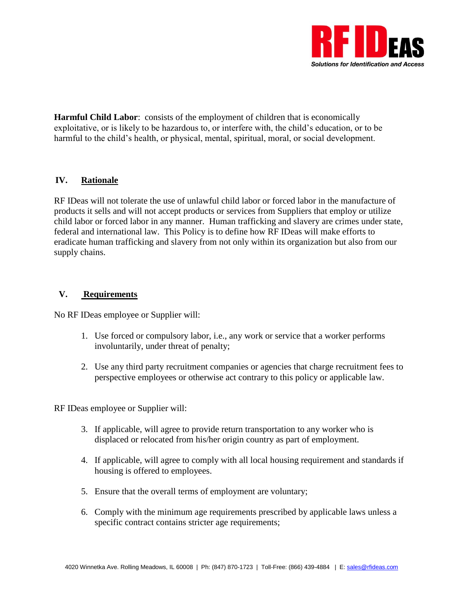

**Harmful Child Labor**: consists of the employment of children that is economically exploitative, or is likely to be hazardous to, or interfere with, the child's education, or to be harmful to the child's health, or physical, mental, spiritual, moral, or social development.

# **IV. Rationale**

RF IDeas will not tolerate the use of unlawful child labor or forced labor in the manufacture of products it sells and will not accept products or services from Suppliers that employ or utilize child labor or forced labor in any manner. Human trafficking and slavery are crimes under state, federal and international law. This Policy is to define how RF IDeas will make efforts to eradicate human trafficking and slavery from not only within its organization but also from our supply chains.

## **V. Requirements**

No RF IDeas employee or Supplier will:

- 1. Use forced or compulsory labor, i.e., any work or service that a worker performs involuntarily, under threat of penalty;
- 2. Use any third party recruitment companies or agencies that charge recruitment fees to perspective employees or otherwise act contrary to this policy or applicable law.

RF IDeas employee or Supplier will:

- 3. If applicable, will agree to provide return transportation to any worker who is displaced or relocated from his/her origin country as part of employment.
- 4. If applicable, will agree to comply with all local housing requirement and standards if housing is offered to employees.
- 5. Ensure that the overall terms of employment are voluntary;
- 6. Comply with the minimum age requirements prescribed by applicable laws unless a specific contract contains stricter age requirements;